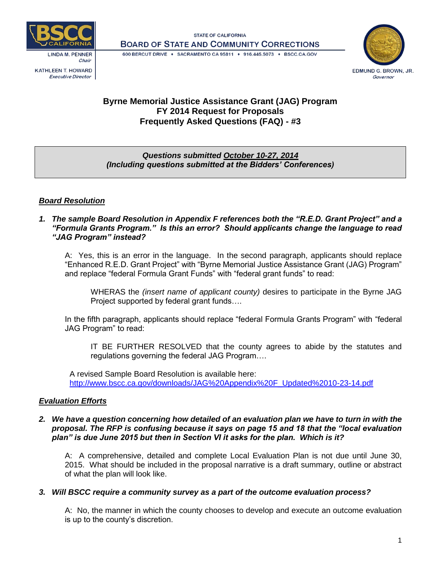

**KATHLEEN T. HOWARD Executive Director** 

**STATE OF CALIFORNIA BOARD OF STATE AND COMMUNITY CORRECTIONS** 

600 BERCUT DRIVE · SACRAMENTO CA 95811 · 916.445.5073 · BSCC.CA.GOV



# **Byrne Memorial Justice Assistance Grant (JAG) Program FY 2014 Request for Proposals Frequently Asked Questions (FAQ) - #3**

# *Questions submitted October 10-27, 2014 (Including questions submitted at the Bidders' Conferences)*

# *Board Resolution*

*1. The sample Board Resolution in Appendix F references both the "R.E.D. Grant Project" and a "Formula Grants Program." Is this an error? Should applicants change the language to read "JAG Program" instead?*

A: Yes, this is an error in the language. In the second paragraph, applicants should replace "Enhanced R.E.D. Grant Project" with "Byrne Memorial Justice Assistance Grant (JAG) Program" and replace "federal Formula Grant Funds" with "federal grant funds" to read:

WHERAS the *(insert name of applicant county)* desires to participate in the Byrne JAG Project supported by federal grant funds….

In the fifth paragraph, applicants should replace "federal Formula Grants Program" with "federal JAG Program" to read:

IT BE FURTHER RESOLVED that the county agrees to abide by the statutes and regulations governing the federal JAG Program….

A revised Sample Board Resolution is available here: [http://www.bscc.ca.gov/downloads/JAG%20Appendix%20F\\_Updated%2010-23-14.pdf](http://www.bscc.ca.gov/downloads/JAG%20Appendix%20F_Updated%2010-23-14.pdf)

# *Evaluation Efforts*

# *2. We have a question concerning how detailed of an evaluation plan we have to turn in with the proposal. The RFP is confusing because it says on page 15 and 18 that the "local evaluation plan" is due June 2015 but then in Section VI it asks for the plan. Which is it?*

A: A comprehensive, detailed and complete Local Evaluation Plan is not due until June 30, 2015. What should be included in the proposal narrative is a draft summary, outline or abstract of what the plan will look like.

# *3. Will BSCC require a community survey as a part of the outcome evaluation process?*

A: No, the manner in which the county chooses to develop and execute an outcome evaluation is up to the county's discretion.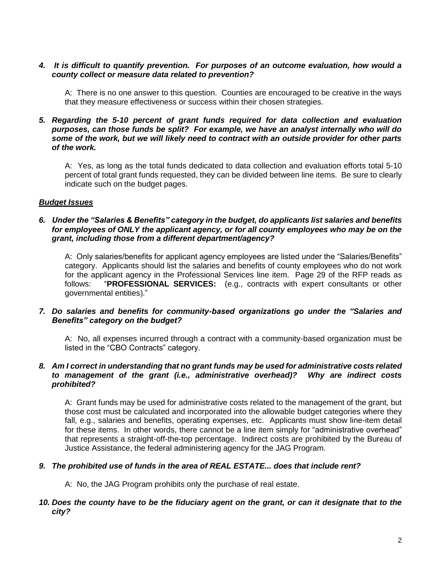## *4. It is difficult to quantify prevention. For purposes of an outcome evaluation, how would a county collect or measure data related to prevention?*

A: There is no one answer to this question. Counties are encouraged to be creative in the ways that they measure effectiveness or success within their chosen strategies.

#### *5. Regarding the 5-10 percent of grant funds required for data collection and evaluation purposes, can those funds be split? For example, we have an analyst internally who will do some of the work, but we will likely need to contract with an outside provider for other parts of the work.*

A: Yes, as long as the total funds dedicated to data collection and evaluation efforts total 5-10 percent of total grant funds requested, they can be divided between line items. Be sure to clearly indicate such on the budget pages.

## *Budget Issues*

## *6. Under the "Salaries & Benefits" category in the budget, do applicants list salaries and benefits*  for employees of ONLY the applicant agency, or for all county employees who may be on the *grant, including those from a different department/agency?*

A: Only salaries/benefits for applicant agency employees are listed under the "Salaries/Benefits" category. Applicants should list the salaries and benefits of county employees who do not work for the applicant agency in the Professional Services line item. Page 29 of the RFP reads as follows: "**PROFESSIONAL SERVICES:** (e.g., contracts with expert consultants or other governmental entities)."

## *7. Do salaries and benefits for community-based organizations go under the "Salaries and Benefits" category on the budget?*

A: No, all expenses incurred through a contract with a community-based organization must be listed in the "CBO Contracts" category.

#### *8. Am I correct in understanding that no grant funds may be used for administrative costs related to management of the grant (i.e., administrative overhead)? Why are indirect costs prohibited?*

A: Grant funds may be used for administrative costs related to the management of the grant, but those cost must be calculated and incorporated into the allowable budget categories where they fall, e.g., salaries and benefits, operating expenses, etc. Applicants must show line-item detail for these items. In other words, there cannot be a line item simply for "administrative overhead" that represents a straight-off-the-top percentage. Indirect costs are prohibited by the Bureau of Justice Assistance, the federal administering agency for the JAG Program.

# *9. The prohibited use of funds in the area of REAL ESTATE... does that include rent?*

A: No, the JAG Program prohibits only the purchase of real estate.

# *10. Does the county have to be the fiduciary agent on the grant, or can it designate that to the city?*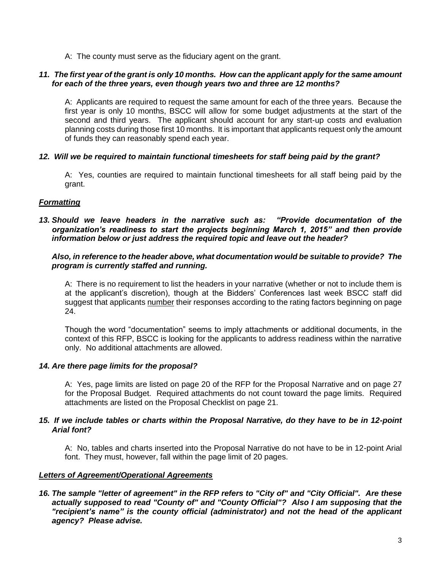A: The county must serve as the fiduciary agent on the grant.

## *11. The first year of the grant is only 10 months. How can the applicant apply for the same amount for each of the three years, even though years two and three are 12 months?*

A: Applicants are required to request the same amount for each of the three years. Because the first year is only 10 months, BSCC will allow for some budget adjustments at the start of the second and third years. The applicant should account for any start-up costs and evaluation planning costs during those first 10 months. It is important that applicants request only the amount of funds they can reasonably spend each year.

## *12. Will we be required to maintain functional timesheets for staff being paid by the grant?*

A: Yes, counties are required to maintain functional timesheets for all staff being paid by the grant.

## *Formatting*

*13. Should we leave headers in the narrative such as: "Provide documentation of the organization's readiness to start the projects beginning March 1, 2015" and then provide information below or just address the required topic and leave out the header?*

#### *Also, in reference to the header above, what documentation would be suitable to provide? The program is currently staffed and running.*

A: There is no requirement to list the headers in your narrative (whether or not to include them is at the applicant's discretion), though at the Bidders' Conferences last week BSCC staff did suggest that applicants number their responses according to the rating factors beginning on page 24.

Though the word "documentation" seems to imply attachments or additional documents, in the context of this RFP, BSCC is looking for the applicants to address readiness within the narrative only. No additional attachments are allowed.

#### *14. Are there page limits for the proposal?*

A: Yes, page limits are listed on page 20 of the RFP for the Proposal Narrative and on page 27 for the Proposal Budget. Required attachments do not count toward the page limits. Required attachments are listed on the Proposal Checklist on page 21.

#### *15. If we include tables or charts within the Proposal Narrative, do they have to be in 12-point Arial font?*

A: No, tables and charts inserted into the Proposal Narrative do not have to be in 12-point Arial font. They must, however, fall within the page limit of 20 pages.

#### *Letters of Agreement/Operational Agreements*

*16. The sample "letter of agreement" in the RFP refers to "City of" and "City Official". Are these actually supposed to read "County of" and "County Official"? Also I am supposing that the "recipient's name" is the county official (administrator) and not the head of the applicant agency? Please advise.*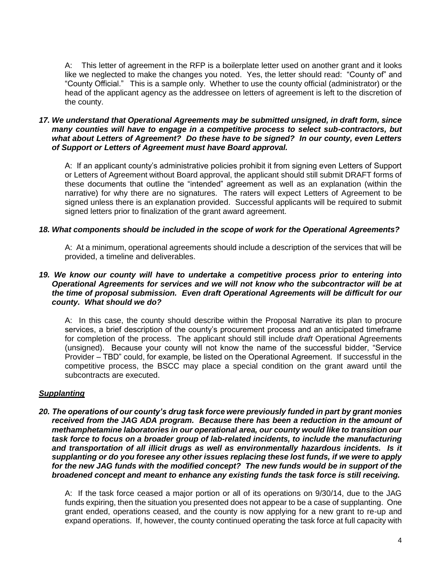A: This letter of agreement in the RFP is a boilerplate letter used on another grant and it looks like we neglected to make the changes you noted. Yes, the letter should read: "County of" and "County Official." This is a sample only. Whether to use the county official (administrator) or the head of the applicant agency as the addressee on letters of agreement is left to the discretion of the county.

#### *17. We understand that Operational Agreements may be submitted unsigned, in draft form, since many counties will have to engage in a competitive process to select sub-contractors, but what about Letters of Agreement? Do these have to be signed? In our county, even Letters of Support or Letters of Agreement must have Board approval.*

A: If an applicant county's administrative policies prohibit it from signing even Letters of Support or Letters of Agreement without Board approval, the applicant should still submit DRAFT forms of these documents that outline the "intended" agreement as well as an explanation (within the narrative) for why there are no signatures. The raters will expect Letters of Agreement to be signed unless there is an explanation provided. Successful applicants will be required to submit signed letters prior to finalization of the grant award agreement.

# *18. What components should be included in the scope of work for the Operational Agreements?*

A: At a minimum, operational agreements should include a description of the services that will be provided, a timeline and deliverables.

## *19. We know our county will have to undertake a competitive process prior to entering into Operational Agreements for services and we will not know who the subcontractor will be at the time of proposal submission. Even draft Operational Agreements will be difficult for our county. What should we do?*

A: In this case, the county should describe within the Proposal Narrative its plan to procure services, a brief description of the county's procurement process and an anticipated timeframe for completion of the process. The applicant should still include *draft* Operational Agreements (unsigned). Because your county will not know the name of the successful bidder, "Service Provider – TBD" could, for example, be listed on the Operational Agreement. If successful in the competitive process, the BSCC may place a special condition on the grant award until the subcontracts are executed.

# *Supplanting*

*20. The operations of our county's drug task force were previously funded in part by grant monies*  received from the JAG ADA program. Because there has been a reduction in the amount of *methamphetamine laboratories in our operational area, our county would like to transition our task force to focus on a broader group of lab-related incidents, to include the manufacturing and transportation of all illicit drugs as well as environmentally hazardous incidents. Is it supplanting or do you foresee any other issues replacing these lost funds, if we were to apply for the new JAG funds with the modified concept? The new funds would be in support of the broadened concept and meant to enhance any existing funds the task force is still receiving.*

A: If the task force ceased a major portion or all of its operations on 9/30/14, due to the JAG funds expiring, then the situation you presented does not appear to be a case of supplanting. One grant ended, operations ceased, and the county is now applying for a new grant to re-up and expand operations. If, however, the county continued operating the task force at full capacity with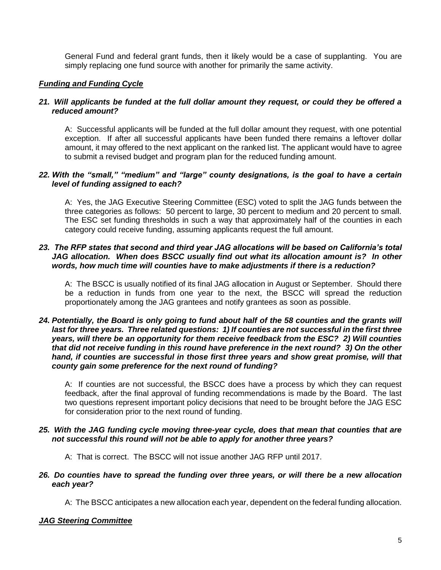General Fund and federal grant funds, then it likely would be a case of supplanting. You are simply replacing one fund source with another for primarily the same activity.

# *Funding and Funding Cycle*

## *21. Will applicants be funded at the full dollar amount they request, or could they be offered a reduced amount?*

A: Successful applicants will be funded at the full dollar amount they request, with one potential exception. If after all successful applicants have been funded there remains a leftover dollar amount, it may offered to the next applicant on the ranked list. The applicant would have to agree to submit a revised budget and program plan for the reduced funding amount.

## *22. With the "small," "medium" and "large" county designations, is the goal to have a certain level of funding assigned to each?*

A: Yes, the JAG Executive Steering Committee (ESC) voted to split the JAG funds between the three categories as follows: 50 percent to large, 30 percent to medium and 20 percent to small. The ESC set funding thresholds in such a way that approximately half of the counties in each category could receive funding, assuming applicants request the full amount.

## *23. The RFP states that second and third year JAG allocations will be based on California's total JAG allocation. When does BSCC usually find out what its allocation amount is? In other words, how much time will counties have to make adjustments if there is a reduction?*

A: The BSCC is usually notified of its final JAG allocation in August or September. Should there be a reduction in funds from one year to the next, the BSCC will spread the reduction proportionately among the JAG grantees and notify grantees as soon as possible.

#### *24. Potentially, the Board is only going to fund about half of the 58 counties and the grants will last for three years. Three related questions: 1) If counties are not successful in the first three years, will there be an opportunity for them receive feedback from the ESC? 2) Will counties that did not receive funding in this round have preference in the next round? 3) On the other hand, if counties are successful in those first three years and show great promise, will that county gain some preference for the next round of funding?*

A: If counties are not successful, the BSCC does have a process by which they can request feedback, after the final approval of funding recommendations is made by the Board. The last two questions represent important policy decisions that need to be brought before the JAG ESC for consideration prior to the next round of funding.

## *25. With the JAG funding cycle moving three-year cycle, does that mean that counties that are not successful this round will not be able to apply for another three years?*

A: That is correct. The BSCC will not issue another JAG RFP until 2017.

#### *26. Do counties have to spread the funding over three years, or will there be a new allocation each year?*

A: The BSCC anticipates a new allocation each year, dependent on the federal funding allocation.

# *JAG Steering Committee*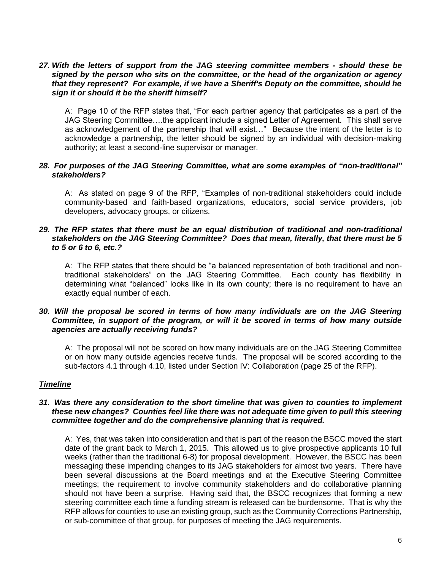## *27. With the letters of support from the JAG steering committee members - should these be signed by the person who sits on the committee, or the head of the organization or agency that they represent? For example, if we have a Sheriff's Deputy on the committee, should he sign it or should it be the sheriff himself?*

A: Page 10 of the RFP states that, "For each partner agency that participates as a part of the JAG Steering Committee….the applicant include a signed Letter of Agreement. This shall serve as acknowledgement of the partnership that will exist…" Because the intent of the letter is to acknowledge a partnership, the letter should be signed by an individual with decision-making authority; at least a second-line supervisor or manager.

#### *28. For purposes of the JAG Steering Committee, what are some examples of "non-traditional" stakeholders?*

A: As stated on page 9 of the RFP, "Examples of non-traditional stakeholders could include community-based and faith-based organizations, educators, social service providers, job developers, advocacy groups, or citizens.

#### *29. The RFP states that there must be an equal distribution of traditional and non-traditional stakeholders on the JAG Steering Committee? Does that mean, literally, that there must be 5 to 5 or 6 to 6, etc.?*

A: The RFP states that there should be "a balanced representation of both traditional and nontraditional stakeholders" on the JAG Steering Committee. Each county has flexibility in determining what "balanced" looks like in its own county; there is no requirement to have an exactly equal number of each.

#### *30. Will the proposal be scored in terms of how many individuals are on the JAG Steering Committee, in support of the program, or will it be scored in terms of how many outside agencies are actually receiving funds?*

A: The proposal will not be scored on how many individuals are on the JAG Steering Committee or on how many outside agencies receive funds. The proposal will be scored according to the sub-factors 4.1 through 4.10, listed under Section IV: Collaboration (page 25 of the RFP).

# *Timeline*

#### *31. Was there any consideration to the short timeline that was given to counties to implement these new changes? Counties feel like there was not adequate time given to pull this steering committee together and do the comprehensive planning that is required.*

A: Yes, that was taken into consideration and that is part of the reason the BSCC moved the start date of the grant back to March 1, 2015. This allowed us to give prospective applicants 10 full weeks (rather than the traditional 6-8) for proposal development. However, the BSCC has been messaging these impending changes to its JAG stakeholders for almost two years. There have been several discussions at the Board meetings and at the Executive Steering Committee meetings; the requirement to involve community stakeholders and do collaborative planning should not have been a surprise. Having said that, the BSCC recognizes that forming a new steering committee each time a funding stream is released can be burdensome. That is why the RFP allows for counties to use an existing group, such as the Community Corrections Partnership, or sub-committee of that group, for purposes of meeting the JAG requirements.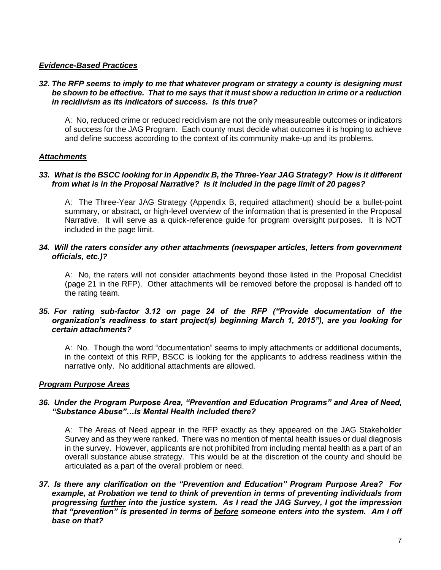# *Evidence-Based Practices*

#### *32. The RFP seems to imply to me that whatever program or strategy a county is designing must be shown to be effective. That to me says that it must show a reduction in crime or a reduction in recidivism as its indicators of success. Is this true?*

A: No, reduced crime or reduced recidivism are not the only measureable outcomes or indicators of success for the JAG Program. Each county must decide what outcomes it is hoping to achieve and define success according to the context of its community make-up and its problems.

## *Attachments*

## *33. What is the BSCC looking for in Appendix B, the Three-Year JAG Strategy? How is it different from what is in the Proposal Narrative? Is it included in the page limit of 20 pages?*

A: The Three-Year JAG Strategy (Appendix B, required attachment) should be a bullet-point summary, or abstract, or high-level overview of the information that is presented in the Proposal Narrative. It will serve as a quick-reference guide for program oversight purposes. It is NOT included in the page limit.

## *34. Will the raters consider any other attachments (newspaper articles, letters from government officials, etc.)?*

A: No, the raters will not consider attachments beyond those listed in the Proposal Checklist (page 21 in the RFP). Other attachments will be removed before the proposal is handed off to the rating team.

#### *35. For rating sub-factor 3.12 on page 24 of the RFP ("Provide documentation of the organization's readiness to start project(s) beginning March 1, 2015"), are you looking for certain attachments?*

A: No. Though the word "documentation" seems to imply attachments or additional documents, in the context of this RFP, BSCC is looking for the applicants to address readiness within the narrative only. No additional attachments are allowed.

#### *Program Purpose Areas*

## *36. Under the Program Purpose Area, "Prevention and Education Programs" and Area of Need, "Substance Abuse"…is Mental Health included there?*

A: The Areas of Need appear in the RFP exactly as they appeared on the JAG Stakeholder Survey and as they were ranked. There was no mention of mental health issues or dual diagnosis in the survey. However, applicants are not prohibited from including mental health as a part of an overall substance abuse strategy. This would be at the discretion of the county and should be articulated as a part of the overall problem or need.

*37. Is there any clarification on the "Prevention and Education" Program Purpose Area? For example, at Probation we tend to think of prevention in terms of preventing individuals from progressing further into the justice system. As I read the JAG Survey, I got the impression that "prevention" is presented in terms of before someone enters into the system. Am I off base on that?*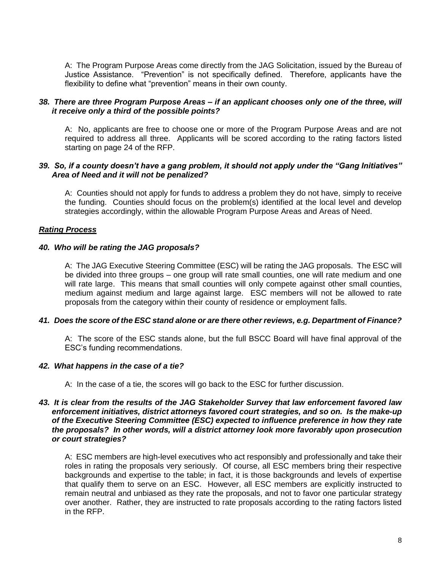A: The Program Purpose Areas come directly from the JAG Solicitation, issued by the Bureau of Justice Assistance. "Prevention" is not specifically defined. Therefore, applicants have the flexibility to define what "prevention" means in their own county.

## *38. There are three Program Purpose Areas – if an applicant chooses only one of the three, will it receive only a third of the possible points?*

A: No, applicants are free to choose one or more of the Program Purpose Areas and are not required to address all three. Applicants will be scored according to the rating factors listed starting on page 24 of the RFP.

#### *39. So, if a county doesn't have a gang problem, it should not apply under the "Gang Initiatives" Area of Need and it will not be penalized?*

A: Counties should not apply for funds to address a problem they do not have, simply to receive the funding. Counties should focus on the problem(s) identified at the local level and develop strategies accordingly, within the allowable Program Purpose Areas and Areas of Need.

# *Rating Process*

## *40. Who will be rating the JAG proposals?*

A: The JAG Executive Steering Committee (ESC) will be rating the JAG proposals. The ESC will be divided into three groups – one group will rate small counties, one will rate medium and one will rate large. This means that small counties will only compete against other small counties, medium against medium and large against large. ESC members will not be allowed to rate proposals from the category within their county of residence or employment falls.

#### *41. Does the score of the ESC stand alone or are there other reviews, e.g. Department of Finance?*

A: The score of the ESC stands alone, but the full BSCC Board will have final approval of the ESC's funding recommendations.

#### *42. What happens in the case of a tie?*

A: In the case of a tie, the scores will go back to the ESC for further discussion.

#### *43. It is clear from the results of the JAG Stakeholder Survey that law enforcement favored law enforcement initiatives, district attorneys favored court strategies, and so on. Is the make-up of the Executive Steering Committee (ESC) expected to influence preference in how they rate the proposals? In other words, will a district attorney look more favorably upon prosecution or court strategies?*

A: ESC members are high-level executives who act responsibly and professionally and take their roles in rating the proposals very seriously. Of course, all ESC members bring their respective backgrounds and expertise to the table; in fact, it is those backgrounds and levels of expertise that qualify them to serve on an ESC. However, all ESC members are explicitly instructed to remain neutral and unbiased as they rate the proposals, and not to favor one particular strategy over another. Rather, they are instructed to rate proposals according to the rating factors listed in the RFP.